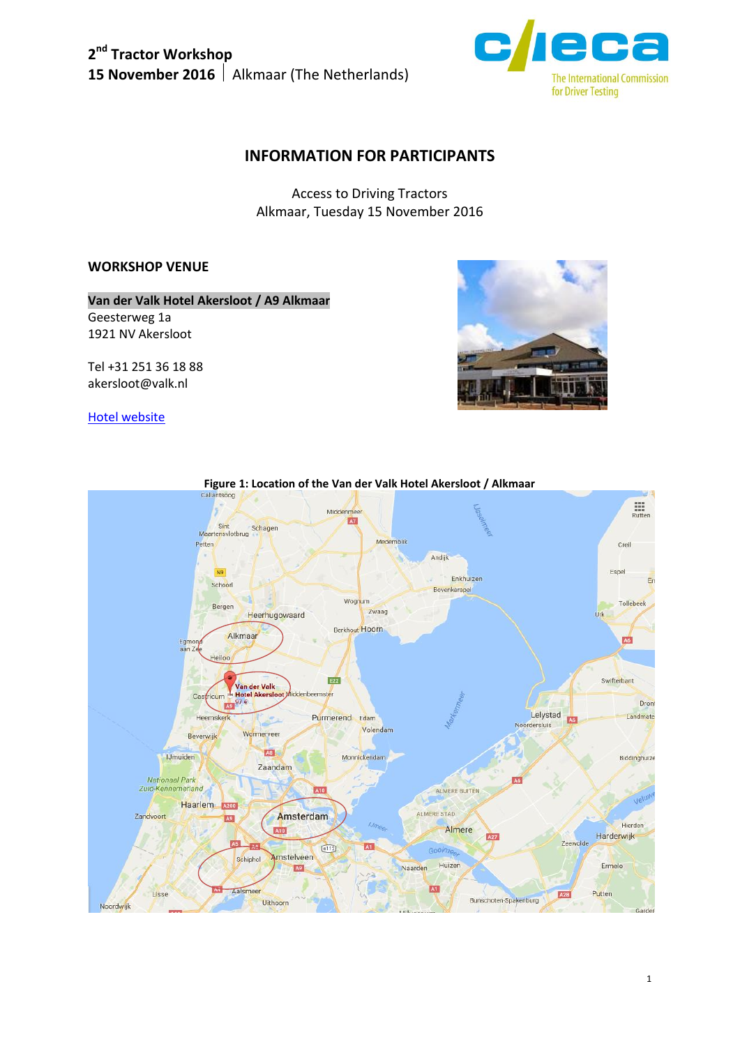

## **INFORMATION FOR PARTICIPANTS**

Access to Driving Tractors Alkmaar, Tuesday 15 November 2016

## **WORKSHOP VENUE**

**Van der Valk Hotel Akersloot / A9 Alkmaar**

Geesterweg 1a 1921 NV Akersloot

Tel +31 251 36 18 88 akersloot@valk.nl

#### [Hotel website](https://www.hotelakersloot.nl/en/)



# **Figure 1: Location of the Van der Valk Hotel Akersloot / Alkmaar**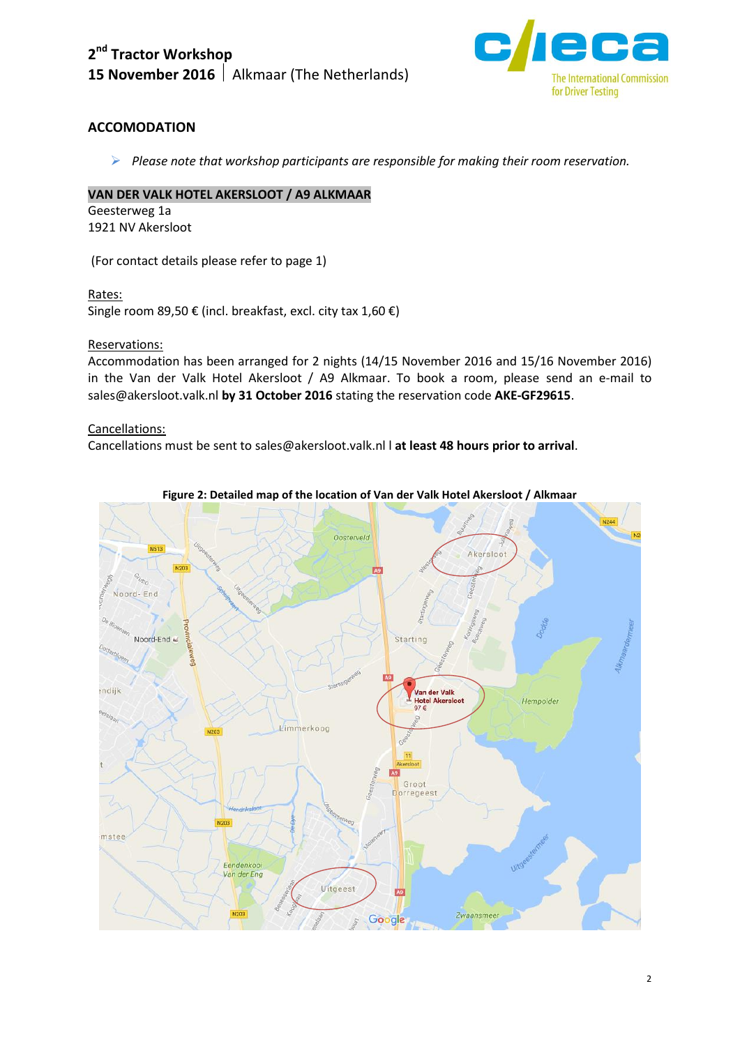

## **ACCOMODATION**

*Please note that workshop participants are responsible for making their room reservation.*

#### **VAN DER VALK HOTEL AKERSLOOT / A9 ALKMAAR**

Geesterweg 1a 1921 NV Akersloot

(For contact details please refer to page 1)

Rates:

Single room 89,50 € (incl. breakfast, excl. city tax 1,60 €)

Reservations:

Accommodation has been arranged for 2 nights (14/15 November 2016 and 15/16 November 2016) in the Van der Valk Hotel Akersloot / A9 Alkmaar. To book a room, please send an e-mail to sales@akersloot.valk.nl **by 31 October 2016** stating the reservation code **AKE-GF29615**.

Cancellations:

Cancellations must be sent to sales@akersloot.valk.nl l **at least 48 hours prior to arrival**.



**Figure 2: Detailed map of the location of Van der Valk Hotel Akersloot / Alkmaar**